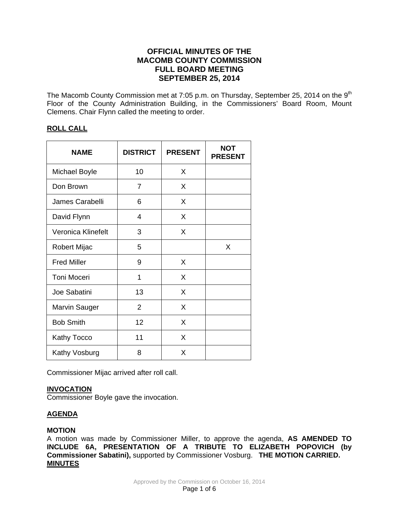# **OFFICIAL MINUTES OF THE MACOMB COUNTY COMMISSION FULL BOARD MEETING SEPTEMBER 25, 2014**

The Macomb County Commission met at 7:05 p.m. on Thursday, September 25, 2014 on the 9<sup>th</sup> Floor of the County Administration Building, in the Commissioners' Board Room, Mount Clemens. Chair Flynn called the meeting to order.

# **ROLL CALL**

| <b>NAME</b>          | <b>DISTRICT</b> | <b>PRESENT</b> | <b>NOT</b><br><b>PRESENT</b> |
|----------------------|-----------------|----------------|------------------------------|
| <b>Michael Boyle</b> | 10              | X              |                              |
| Don Brown            | 7               | X              |                              |
| James Carabelli      | 6               | X              |                              |
| David Flynn          | 4               | X              |                              |
| Veronica Klinefelt   | 3               | X              |                              |
| Robert Mijac         | 5               |                | X                            |
| <b>Fred Miller</b>   | 9               | X              |                              |
| Toni Moceri          | 1               | X              |                              |
| Joe Sabatini         | 13              | X              |                              |
| <b>Marvin Sauger</b> | 2               | X              |                              |
| <b>Bob Smith</b>     | 12              | X              |                              |
| Kathy Tocco          | 11              | X              |                              |
| Kathy Vosburg        | 8               | X              |                              |

Commissioner Mijac arrived after roll call.

## **INVOCATION**

Commissioner Boyle gave the invocation.

# **AGENDA**

## **MOTION**

A motion was made by Commissioner Miller, to approve the agenda, **AS AMENDED TO INCLUDE 6A, PRESENTATION OF A TRIBUTE TO ELIZABETH POPOVICH (by Commissioner Sabatini),** supported by Commissioner Vosburg. **THE MOTION CARRIED. MINUTES**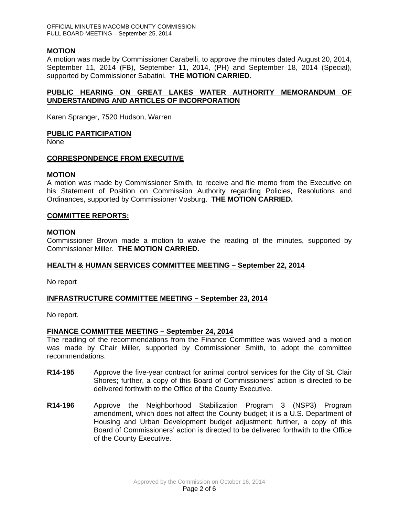## **MOTION**

A motion was made by Commissioner Carabelli, to approve the minutes dated August 20, 2014, September 11, 2014 (FB), September 11, 2014, (PH) and September 18, 2014 (Special), supported by Commissioner Sabatini. **THE MOTION CARRIED**.

## **PUBLIC HEARING ON GREAT LAKES WATER AUTHORITY MEMORANDUM OF UNDERSTANDING AND ARTICLES OF INCORPORATION**

Karen Spranger, 7520 Hudson, Warren

#### **PUBLIC PARTICIPATION**

None

#### **CORRESPONDENCE FROM EXECUTIVE**

#### **MOTION**

A motion was made by Commissioner Smith, to receive and file memo from the Executive on his Statement of Position on Commission Authority regarding Policies, Resolutions and Ordinances, supported by Commissioner Vosburg. **THE MOTION CARRIED.**

#### **COMMITTEE REPORTS:**

#### **MOTION**

Commissioner Brown made a motion to waive the reading of the minutes, supported by Commissioner Miller. **THE MOTION CARRIED.**

#### **HEALTH & HUMAN SERVICES COMMITTEE MEETING – September 22, 2014**

No report

#### **INFRASTRUCTURE COMMITTEE MEETING – September 23, 2014**

No report.

#### **FINANCE COMMITTEE MEETING – September 24, 2014**

The reading of the recommendations from the Finance Committee was waived and a motion was made by Chair Miller, supported by Commissioner Smith, to adopt the committee recommendations.

- **R14-195** Approve the five-year contract for animal control services for the City of St. Clair Shores; further, a copy of this Board of Commissioners' action is directed to be delivered forthwith to the Office of the County Executive.
- **R14-196** Approve the Neighborhood Stabilization Program 3 (NSP3) Program amendment, which does not affect the County budget; it is a U.S. Department of Housing and Urban Development budget adjustment; further, a copy of this Board of Commissioners' action is directed to be delivered forthwith to the Office of the County Executive.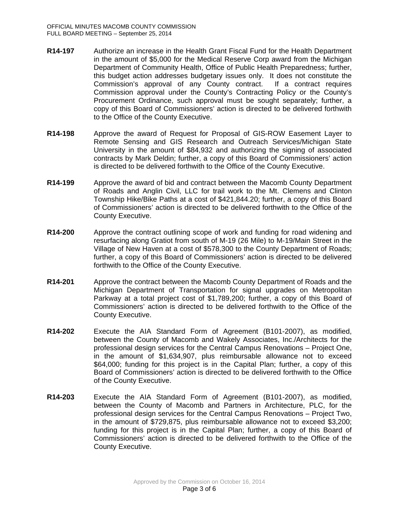- **R14-197** Authorize an increase in the Health Grant Fiscal Fund for the Health Department in the amount of \$5,000 for the Medical Reserve Corp award from the Michigan Department of Community Health, Office of Public Health Preparedness; further, this budget action addresses budgetary issues only. It does not constitute the Commission's approval of any County contract. If a contract requires Commission approval under the County's Contracting Policy or the County's Procurement Ordinance, such approval must be sought separately; further, a copy of this Board of Commissioners' action is directed to be delivered forthwith to the Office of the County Executive.
- **R14-198** Approve the award of Request for Proposal of GIS-ROW Easement Layer to Remote Sensing and GIS Research and Outreach Services/Michigan State University in the amount of \$84,932 and authorizing the signing of associated contracts by Mark Deldin; further, a copy of this Board of Commissioners' action is directed to be delivered forthwith to the Office of the County Executive.
- **R14-199** Approve the award of bid and contract between the Macomb County Department of Roads and Anglin Civil, LLC for trail work to the Mt. Clemens and Clinton Township Hike/Bike Paths at a cost of \$421,844.20; further, a copy of this Board of Commissioners' action is directed to be delivered forthwith to the Office of the County Executive.
- **R14-200** Approve the contract outlining scope of work and funding for road widening and resurfacing along Gratiot from south of M-19 (26 Mile) to M-19/Main Street in the Village of New Haven at a cost of \$578,300 to the County Department of Roads; further, a copy of this Board of Commissioners' action is directed to be delivered forthwith to the Office of the County Executive.
- **R14-201** Approve the contract between the Macomb County Department of Roads and the Michigan Department of Transportation for signal upgrades on Metropolitan Parkway at a total project cost of \$1,789,200; further, a copy of this Board of Commissioners' action is directed to be delivered forthwith to the Office of the County Executive.
- **R14-202** Execute the AIA Standard Form of Agreement (B101-2007), as modified, between the County of Macomb and Wakely Associates, Inc./Architects for the professional design services for the Central Campus Renovations – Project One, in the amount of \$1,634,907, plus reimbursable allowance not to exceed \$64,000; funding for this project is in the Capital Plan; further, a copy of this Board of Commissioners' action is directed to be delivered forthwith to the Office of the County Executive.
- **R14-203** Execute the AIA Standard Form of Agreement (B101-2007), as modified, between the County of Macomb and Partners in Architecture, PLC, for the professional design services for the Central Campus Renovations – Project Two, in the amount of \$729,875, plus reimbursable allowance not to exceed \$3,200; funding for this project is in the Capital Plan; further, a copy of this Board of Commissioners' action is directed to be delivered forthwith to the Office of the County Executive.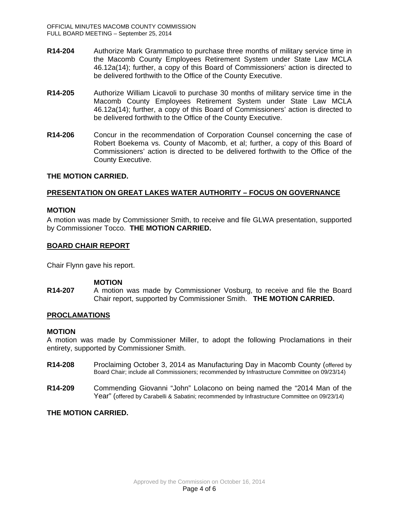- **R14-204** Authorize Mark Grammatico to purchase three months of military service time in the Macomb County Employees Retirement System under State Law MCLA 46.12a(14); further, a copy of this Board of Commissioners' action is directed to be delivered forthwith to the Office of the County Executive.
- **R14-205** Authorize William Licavoli to purchase 30 months of military service time in the Macomb County Employees Retirement System under State Law MCLA 46.12a(14); further, a copy of this Board of Commissioners' action is directed to be delivered forthwith to the Office of the County Executive.
- **R14-206** Concur in the recommendation of Corporation Counsel concerning the case of Robert Boekema vs. County of Macomb, et al; further, a copy of this Board of Commissioners' action is directed to be delivered forthwith to the Office of the County Executive.

## **THE MOTION CARRIED.**

## **PRESENTATION ON GREAT LAKES WATER AUTHORITY – FOCUS ON GOVERNANCE**

#### **MOTION**

A motion was made by Commissioner Smith, to receive and file GLWA presentation, supported by Commissioner Tocco. **THE MOTION CARRIED.**

### **BOARD CHAIR REPORT**

Chair Flynn gave his report.

#### **MOTION**

**R14-207** A motion was made by Commissioner Vosburg, to receive and file the Board Chair report, supported by Commissioner Smith. **THE MOTION CARRIED.**

## **PROCLAMATIONS**

#### **MOTION**

A motion was made by Commissioner Miller, to adopt the following Proclamations in their entirety, supported by Commissioner Smith.

- **R14-208** Proclaiming October 3, 2014 as Manufacturing Day in Macomb County (offered by Board Chair; include all Commissioners; recommended by Infrastructure Committee on 09/23/14)
- **R14-209** Commending Giovanni "John" Lolacono on being named the "2014 Man of the Year" (offered by Carabelli & Sabatini; recommended by Infrastructure Committee on 09/23/14)

#### **THE MOTION CARRIED.**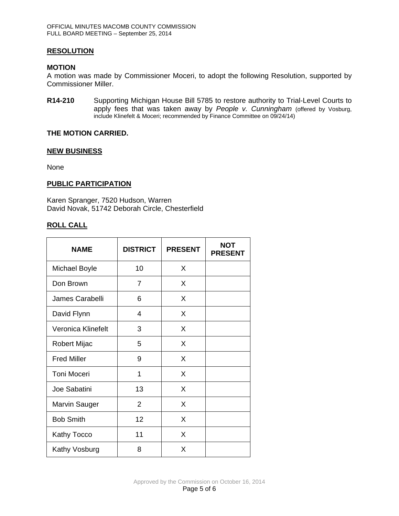## **RESOLUTION**

#### **MOTION**

A motion was made by Commissioner Moceri, to adopt the following Resolution, supported by Commissioner Miller.

**R14-210** Supporting Michigan House Bill 5785 to restore authority to Trial-Level Courts to apply fees that was taken away by *People v. Cunningham* (offered by Vosburg, include Klinefelt & Moceri; recommended by Finance Committee on 09/24/14)

### **THE MOTION CARRIED.**

#### **NEW BUSINESS**

None

#### **PUBLIC PARTICIPATION**

Karen Spranger, 7520 Hudson, Warren David Novak, 51742 Deborah Circle, Chesterfield

### **ROLL CALL**

| <b>NAME</b>          | <b>DISTRICT</b> | <b>PRESENT</b> | <b>NOT</b><br><b>PRESENT</b> |
|----------------------|-----------------|----------------|------------------------------|
| <b>Michael Boyle</b> | 10              | X              |                              |
| Don Brown            | 7               | X              |                              |
| James Carabelli      | 6               | X              |                              |
| David Flynn          | 4               | X              |                              |
| Veronica Klinefelt   | 3               | X              |                              |
| Robert Mijac         | 5               | X              |                              |
| <b>Fred Miller</b>   | 9               | X              |                              |
| Toni Moceri          | 1               | X              |                              |
| Joe Sabatini         | 13              | X              |                              |
| <b>Marvin Sauger</b> | $\overline{2}$  | X              |                              |
| <b>Bob Smith</b>     | 12              | X              |                              |
| <b>Kathy Tocco</b>   | 11              | X              |                              |
| Kathy Vosburg        | 8               | X              |                              |